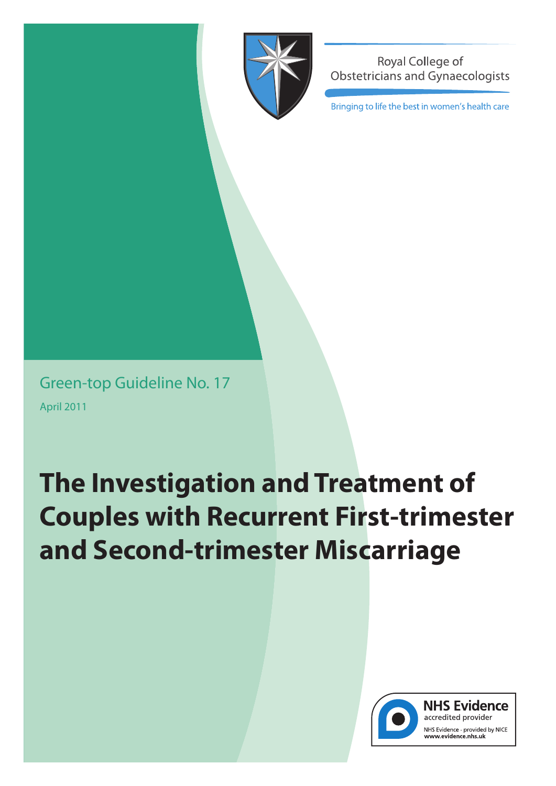

Royal College of **Obstetricians and Gynaecologists** 

Bringing to life the best in women's health care

Green-top Guideline No. 17 April 2011

# **The Investigation and Treatment of Couples with Recurrent First-trimester and Second-trimester Miscarriage**



**NHS Evidence** accredited provider NHS Evidence - provided by NICE www.evidence.nhs.uk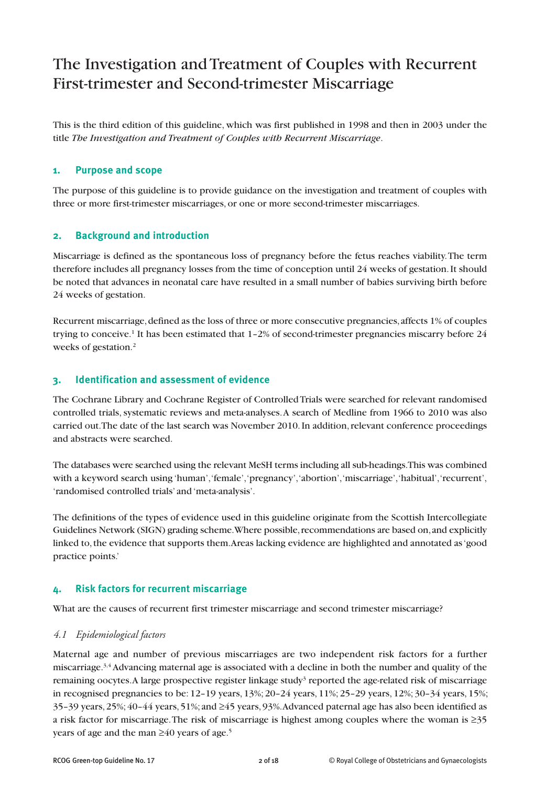# The Investigation andTreatment of Couples with Recurrent First-trimester and Second-trimester Miscarriage

This is the third edition of this guideline, which was first published in 1998 and then in 2003 under the title *The Investigation and Treatment of Couples with Recurrent Miscarriage*.

#### **1. Purpose and scope**

The purpose of this guideline is to provide guidance on the investigation and treatment of couples with three or more first-trimester miscarriages, or one or more second-trimester miscarriages.

# **2. Background and introduction**

Miscarriage is defined as the spontaneous loss of pregnancy before the fetus reaches viability.The term therefore includes all pregnancy losses from the time of conception until 24 weeks of gestation.It should be noted that advances in neonatal care have resulted in a small number of babies surviving birth before 24 weeks of gestation.

Recurrent miscarriage, defined as the loss of three or more consecutive pregnancies, affects 1% of couples trying to conceive. <sup>1</sup> It has been estimated that 1–2% of second-trimester pregnancies miscarry before 24 weeks of gestation. 2

#### **3. Identification and assessment of evidence**

The Cochrane Library and Cochrane Register of ControlledTrials were searched for relevant randomised controlled trials, systematic reviews and meta-analyses. A search of Medline from 1966 to 2010 was also carried out.The date of the last search was November 2010.In addition,relevant conference proceedings and abstracts were searched.

The databases were searched using the relevant MeSH terms including all sub-headings.This was combined with a keyword search using 'human', 'female', 'pregnancy', 'abortion', 'miscarriage', 'habitual', 'recurrent', 'randomised controlled trials' and 'meta-analysis'.

The definitions of the types of evidence used in this guideline originate from the Scottish Intercollegiate Guidelines Network (SIGN) grading scheme. Where possible, recommendations are based on, and explicitly linked to, the evidence that supports them. Areas lacking evidence are highlighted and annotated as 'good practice points.'

# **4. Risk factors for recurrent miscarriage**

What are the causes of recurrent first trimester miscarriage and second trimester miscarriage?

#### *4.1 Epidemiological factors*

Maternal age and number of previous miscarriages are two independent risk factors for a further miscarriage.<sup>3,4</sup> Advancing maternal age is associated with a decline in both the number and quality of the remaining oocytes. A large prospective register linkage study<sup>3</sup> reported the age-related risk of miscarriage in recognised pregnancies to be: 12–19 years, 13%; 20–24 years, 11%; 25–29 years, 12%; 30–34 years, 15%; 35–39 years,25%;40–44 years,51%; and ≥45 years,93%.Advanced paternal age has also been identified as a risk factor for miscarriage.The risk of miscarriage is highest among couples where the woman is ≥35 years of age and the man ≥40 years of age. 5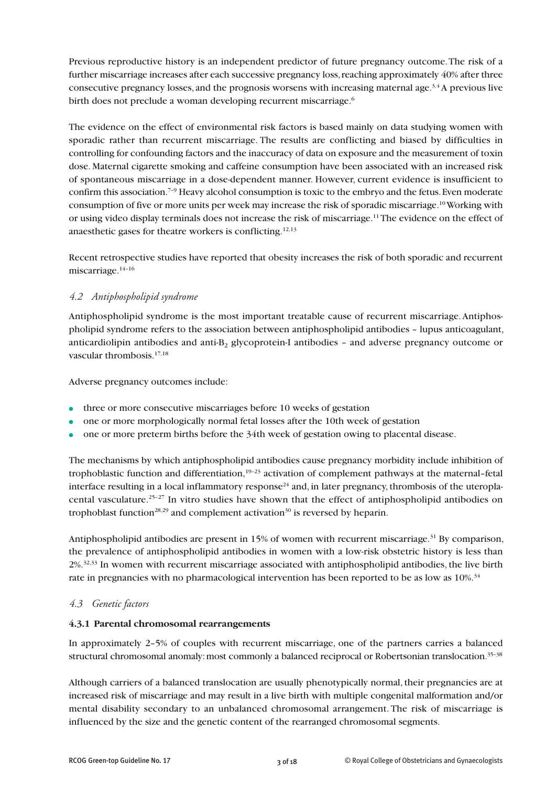Previous reproductive history is an independent predictor of future pregnancy outcome.The risk of a further miscarriage increases after each successive pregnancy loss, reaching approximately 40% after three consecutive pregnancy losses, and the prognosis worsens with increasing maternal age. $3.4$  A previous live birth does not preclude a woman developing recurrent miscarriage. 6

The evidence on the effect of environmental risk factors is based mainly on data studying women with sporadic rather than recurrent miscarriage. The results are conflicting and biased by difficulties in controlling for confounding factors and the inaccuracy of data on exposure and the measurement of toxin dose. Maternal cigarette smoking and caffeine consumption have been associated with an increased risk of spontaneous miscarriage in a dose-dependent manner. However, current evidence is insufficient to confirm this association.<sup>7-9</sup> Heavy alcohol consumption is toxic to the embryo and the fetus. Even moderate consumption of five or more units per week may increase the risk of sporadic miscarriage. 10Working with or using video display terminals does not increase the risk of miscarriage.<sup>11</sup> The evidence on the effect of anaesthetic gases for theatre workers is conflicting.<sup>12,13</sup>

Recent retrospective studies have reported that obesity increases the risk of both sporadic and recurrent miscarriage.<sup>14-16</sup>

# *4.2 Antiphospholipid syndrome*

Antiphospholipid syndrome is the most important treatable cause of recurrent miscarriage.Antiphospholipid syndrome refers to the association between antiphospholipid antibodies – lupus anticoagulant, anticardiolipin antibodies and anti-B<sub>2</sub> glycoprotein-I antibodies – and adverse pregnancy outcome or vascular thrombosis. 17,18

Adverse pregnancy outcomes include:

- **•** three or more consecutive miscarriages before 10 weeks of gestation
- **●** one or more morphologically normal fetal losses after the 10th week of gestation
- **●** one or more preterm births before the 34th week of gestation owing to placental disease.

The mechanisms by which antiphospholipid antibodies cause pregnancy morbidity include inhibition of trophoblastic function and differentiation,<sup>19-23</sup> activation of complement pathways at the maternal-fetal interface resulting in a local inflammatory response<sup>24</sup> and, in later pregnancy, thrombosis of the uteroplacental vasculature. 25–27 In vitro studies have shown that the effect of antiphospholipid antibodies on trophoblast function<sup>28,29</sup> and complement activation<sup>30</sup> is reversed by heparin.

Antiphospholipid antibodies are present in 15% of women with recurrent miscarriage. <sup>31</sup> By comparison, the prevalence of antiphospholipid antibodies in women with a low-risk obstetric history is less than 2%.<sup>32,33</sup> In women with recurrent miscarriage associated with antiphospholipid antibodies, the live birth rate in pregnancies with no pharmacological intervention has been reported to be as low as  $10\%$ .  $^{34}$ 

# *4.3 Genetic factors*

#### **4.3.1 Parental chromosomal rearrangements**

In approximately 2–5% of couples with recurrent miscarriage, one of the partners carries a balanced structural chromosomal anomaly: most commonly a balanced reciprocal or Robertsonian translocation.<sup>35-38</sup>

Although carriers of a balanced translocation are usually phenotypically normal, their pregnancies are at increased risk of miscarriage and may result in a live birth with multiple congenital malformation and/or mental disability secondary to an unbalanced chromosomal arrangement. The risk of miscarriage is influenced by the size and the genetic content of the rearranged chromosomal segments.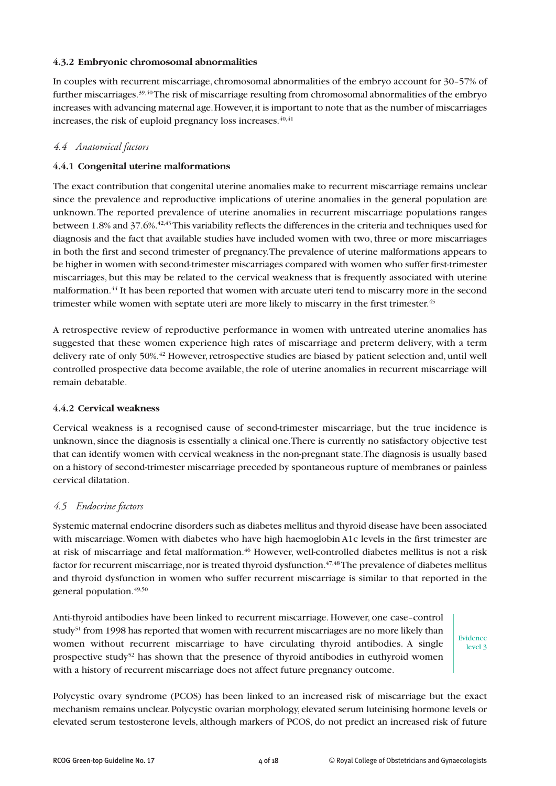#### **4.3.2 Embryonic chromosomal abnormalities**

In couples with recurrent miscarriage, chromosomal abnormalities of the embryo account for 30–57% of further miscarriages.<sup>39,40</sup>The risk of miscarriage resulting from chromosomal abnormalities of the embryo increases with advancing maternal age. However, it is important to note that as the number of miscarriages increases, the risk of euploid pregnancy loss increases.  $^{40,41}$ 

#### *4.4 Anatomical factors*

#### **4.4.1 Congenital uterine malformations**

The exact contribution that congenital uterine anomalies make to recurrent miscarriage remains unclear since the prevalence and reproductive implications of uterine anomalies in the general population are unknown.The reported prevalence of uterine anomalies in recurrent miscarriage populations ranges between 1.8% and 37.6%. $^{42,43}$ This variability reflects the differences in the criteria and techniques used for diagnosis and the fact that available studies have included women with two, three or more miscarriages in both the first and second trimester of pregnancy.The prevalence of uterine malformations appears to be higher in women with second-trimester miscarriages compared with women who suffer first-trimester miscarriages, but this may be related to the cervical weakness that is frequently associated with uterine malformation. <sup>44</sup> It has been reported that women with arcuate uteri tend to miscarry more in the second trimester while women with septate uteri are more likely to miscarry in the first trimester. 45

A retrospective review of reproductive performance in women with untreated uterine anomalies has suggested that these women experience high rates of miscarriage and preterm delivery, with a term delivery rate of only 50%.<sup>42</sup> However, retrospective studies are biased by patient selection and, until well controlled prospective data become available, the role of uterine anomalies in recurrent miscarriage will remain debatable.

#### **4.4.2 Cervical weakness**

Cervical weakness is a recognised cause of second-trimester miscarriage, but the true incidence is unknown,since the diagnosis is essentially a clinical one.There is currently no satisfactory objective test that can identify women with cervical weakness in the non-pregnant state.The diagnosis is usually based on a history of second-trimester miscarriage preceded by spontaneous rupture of membranes or painless cervical dilatation.

#### *4.5 Endocrine factors*

Systemic maternal endocrine disorders such as diabetes mellitus and thyroid disease have been associated with miscarriage.Women with diabetes who have high haemoglobin A1c levels in the first trimester are at risk of miscarriage and fetal malformation. <sup>46</sup> However, well-controlled diabetes mellitus is not a risk factor for recurrent miscarriage, nor is treated thyroid dysfunction.  $^{47,48}\rm{The}$  prevalence of diabetes mellitus and thyroid dysfunction in women who suffer recurrent miscarriage is similar to that reported in the general population. 49,50

Anti-thyroid antibodies have been linked to recurrent miscarriage. However, one case–control study<sup>51</sup> from 1998 has reported that women with recurrent miscarriages are no more likely than women without recurrent miscarriage to have circulating thyroid antibodies. A single prospective study<sup>52</sup> has shown that the presence of thyroid antibodies in euthyroid women with a history of recurrent miscarriage does not affect future pregnancy outcome.

Evidence level 3

Polycystic ovary syndrome (PCOS) has been linked to an increased risk of miscarriage but the exact mechanism remains unclear. Polycystic ovarian morphology, elevated serum luteinising hormone levels or elevated serum testosterone levels, although markers of PCOS, do not predict an increased risk of future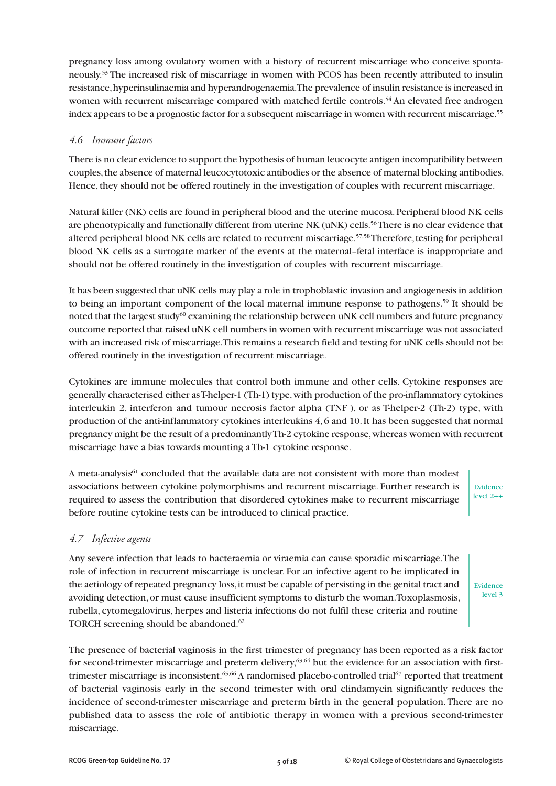pregnancy loss among ovulatory women with a history of recurrent miscarriage who conceive spontaneously. <sup>53</sup> The increased risk of miscarriage in women with PCOS has been recently attributed to insulin resistance,hyperinsulinaemia and hyperandrogenaemia.The prevalence of insulin resistance is increased in women with recurrent miscarriage compared with matched fertile controls.<sup>54</sup> An elevated free androgen index appears to be a prognostic factor for a subsequent miscarriage in women with recurrent miscarriage. 55

#### *4.6 Immune factors*

There is no clear evidence to support the hypothesis of human leucocyte antigen incompatibility between couples,the absence of maternal leucocytotoxic antibodies or the absence of maternal blocking antibodies. Hence, they should not be offered routinely in the investigation of couples with recurrent miscarriage.

Natural killer (NK) cells are found in peripheral blood and the uterine mucosa.Peripheral blood NK cells are phenotypically and functionally different from uterine NK (uNK) cells. 56There is no clear evidence that altered peripheral blood NK cells are related to recurrent miscarriage. 57,58Therefore,testing for peripheral blood NK cells as a surrogate marker of the events at the maternal–fetal interface is inappropriate and should not be offered routinely in the investigation of couples with recurrent miscarriage.

It has been suggested that uNK cells may play a role in trophoblastic invasion and angiogenesis in addition to being an important component of the local maternal immune response to pathogens.<sup>59</sup> It should be noted that the largest study<sup>60</sup> examining the relationship between uNK cell numbers and future pregnancy outcome reported that raised uNK cell numbers in women with recurrent miscarriage was not associated with an increased risk of miscarriage.This remains a research field and testing for uNK cells should not be offered routinely in the investigation of recurrent miscarriage.

Cytokines are immune molecules that control both immune and other cells. Cytokine responses are generally characterised either asT-helper-1 (Th-1) type,with production of the pro-inflammatory cytokines interleukin 2, interferon and tumour necrosis factor alpha (TNF ), or as T-helper-2 (Th-2) type, with production of the anti-inflammatory cytokines interleukins 4,6 and 10.It has been suggested that normal pregnancy might be the result of a predominantlyTh-2 cytokine response,whereas women with recurrent miscarriage have a bias towards mounting aTh-1 cytokine response.

A meta-analysis<sup>61</sup> concluded that the available data are not consistent with more than modest associations between cytokine polymorphisms and recurrent miscarriage. Further research is required to assess the contribution that disordered cytokines make to recurrent miscarriage before routine cytokine tests can be introduced to clinical practice.

# Evidence level 2++

# *4.7 Infective agents*

Any severe infection that leads to bacteraemia or viraemia can cause sporadic miscarriage.The role of infection in recurrent miscarriage is unclear. For an infective agent to be implicated in the aetiology of repeated pregnancy loss,it must be capable of persisting in the genital tract and avoiding detection,or must cause insufficient symptoms to disturb the woman.Toxoplasmosis, rubella, cytomegalovirus, herpes and listeria infections do not fulfil these criteria and routine TORCH screening should be abandoned. 62

Evidence level 3

The presence of bacterial vaginosis in the first trimester of pregnancy has been reported as a risk factor for second-trimester miscarriage and preterm delivery,<sup>63,64</sup> but the evidence for an association with firsttrimester miscarriage is inconsistent. 65,66 A randomised placebo-controlled trial <sup>67</sup> reported that treatment of bacterial vaginosis early in the second trimester with oral clindamycin significantly reduces the incidence of second-trimester miscarriage and preterm birth in the general population.There are no published data to assess the role of antibiotic therapy in women with a previous second-trimester miscarriage.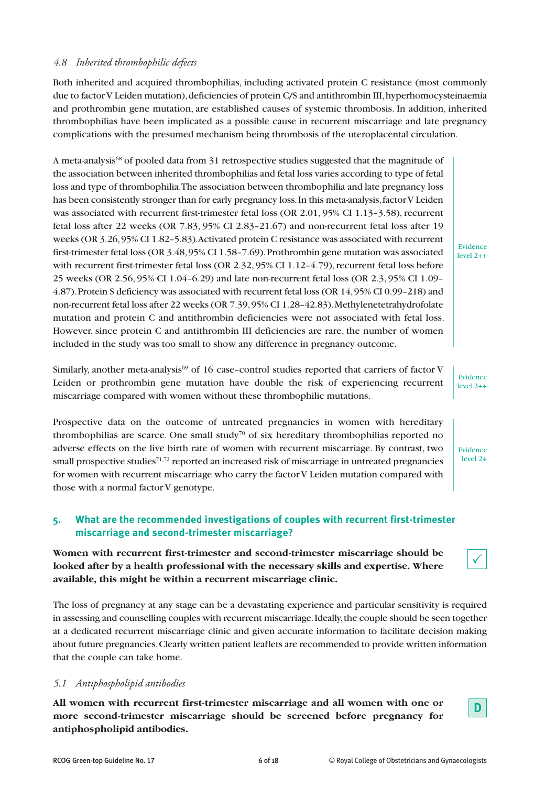# *4.8 Inherited thrombophilic defects*

Both inherited and acquired thrombophilias, including activated protein C resistance (most commonly due to factor V Leiden mutation), deficiencies of protein C/S and antithrombin III, hyperhomocysteinaemia and prothrombin gene mutation, are established causes of systemic thrombosis. In addition, inherited thrombophilias have been implicated as a possible cause in recurrent miscarriage and late pregnancy complications with the presumed mechanism being thrombosis of the uteroplacental circulation.

A meta-analysis<sup>68</sup> of pooled data from 31 retrospective studies suggested that the magnitude of the association between inherited thrombophilias and fetal loss varies according to type of fetal loss and type of thrombophilia.The association between thrombophilia and late pregnancy loss has been consistently stronger than for early pregnancy loss. In this meta-analysis, factor V Leiden was associated with recurrent first-trimester fetal loss (OR  $2.01$ ,  $95\%$  CI  $1.13-3.58$ ), recurrent fetal loss after 22 weeks (OR 7.83, 95% CI 2.83–21.67) and non-recurrent fetal loss after 19 weeks (OR 3.26,95% CI 1.82–5.83).Activated protein C resistance was associated with recurrent first-trimester fetal loss (OR 3.48,95% CI 1.58–7.69).Prothrombin gene mutation was associated with recurrent first-trimester fetal loss (OR 2.32, 95% CI 1.12-4.79), recurrent fetal loss before 25 weeks (OR 2.56, 95% CI 1.04–6.29) and late non-recurrent fetal loss (OR 2.3, 95% CI 1.09– 4.87).Protein S deficiency was associated with recurrent fetal loss (OR 14,95% CI 0.99–218) and non-recurrent fetal loss after 22 weeks (OR 7.39,95% CI 1.28-42.83). Methylenetetrahydrofolate mutation and protein C and antithrombin deficiencies were not associated with fetal loss. However, since protein C and antithrombin III deficiencies are rare, the number of women included in the study was too small to show any difference in pregnancy outcome.

Similarly, another meta-analysis<sup>69</sup> of 16 case–control studies reported that carriers of factor V Leiden or prothrombin gene mutation have double the risk of experiencing recurrent miscarriage compared with women without these thrombophilic mutations.

Prospective data on the outcome of untreated pregnancies in women with hereditary thrombophilias are scarce. One small study<sup>70</sup> of six hereditary thrombophilias reported no adverse effects on the live birth rate of women with recurrent miscarriage. By contrast, two small prospective studies<sup>71,72</sup> reported an increased risk of miscarriage in untreated pregnancies for women with recurrent miscarriage who carry the factor V Leiden mutation compared with those with a normal factor V genotype.

# **5. What are the recommended investigations of couples with recurrent first-trimester miscarriage and second-trimester miscarriage?**

**Women with recurrent first-trimester and second-trimester miscarriage should be looked after by a health professional with the necessary skills and expertise. Where available, this might be within a recurrent miscarriage clinic.**

The loss of pregnancy at any stage can be a devastating experience and particular sensitivity is required in assessing and counselling couples with recurrent miscarriage.Ideally,the couple should be seen together at a dedicated recurrent miscarriage clinic and given accurate information to facilitate decision making about future pregnancies.Clearly written patient leaflets are recommended to provide written information that the couple can take home.

#### *5.1 Antiphospholipid antibodies*

**All women with recurrent first-trimester miscarriage and all women with one or more second-trimester miscarriage should be screened before pregnancy for antiphospholipid antibodies.**



Evidence level 2++

Evidence level  $2+4$ 

Evidence level 2+

 $\checkmark$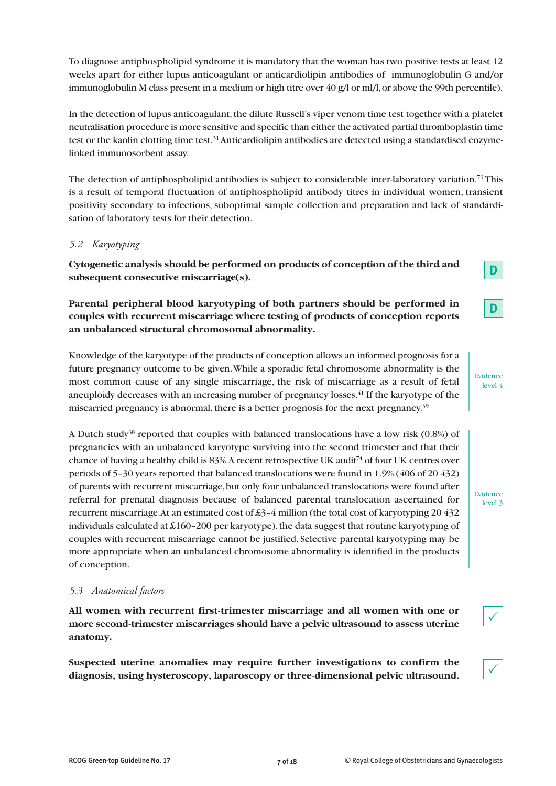To diagnose antiphospholipid syndrome it is mandatory that the woman has two positive tests at least 12 weeks apart for either lupus anticoagulant or anticardiolipin antibodies of immunoglobulin G and/or immunoglobulin M class present in a medium or high titre over 40 g/l or ml/l, or above the 99th percentile).

In the detection of lupus anticoagulant, the dilute Russell's viper venom time test together with a platelet neutralisation procedure is more sensitive and specific than either the activated partial thromboplastin time test or the kaolin clotting time test.<sup>31</sup> Anticardiolipin antibodies are detected using a standardised enzymelinked immunosorbent assay.

The detection of antiphospholipid antibodies is subject to considerable inter-laboratory variation. <sup>73</sup> This is a result of temporal fluctuation of antiphospholipid antibody titres in individual women, transient positivity secondary to infections, suboptimal sample collection and preparation and lack of standardisation of laboratory tests for their detection.

#### *5.2 Karyotyping*

**Cytogenetic analysis should be performed on products of conception of the third and subsequent consecutive miscarriage(s).**

**Parental peripheral blood karyotyping of both partners should be performed in couples with recurrent miscarriage where testing of products of conception reports an unbalanced structural chromosomal abnormality.**

Knowledge of the karyotype of the products of conception allows an informed prognosis for a future pregnancy outcome to be given.While a sporadic fetal chromosome abnormality is the most common cause of any single miscarriage, the risk of miscarriage as a result of fetal aneuploidy decreases with an increasing number of pregnancy losses. <sup>41</sup> If the karyotype of the miscarried pregnancy is abnormal, there is a better prognosis for the next pregnancy.<sup>39</sup>

A Dutch study<sup>38</sup> reported that couples with balanced translocations have a low risk  $(0.8%)$  of pregnancies with an unbalanced karyotype surviving into the second trimester and that their chance of having a healthy child is 83%. A recent retrospective UK audit<sup>74</sup> of four UK centres over periods of 5–30 years reported that balanced translocations were found in 1.9% (406 of 20 432) of parents with recurrent miscarriage,but only four unbalanced translocations were found after referral for prenatal diagnosis because of balanced parental translocation ascertained for recurrent miscarriage.At an estimated cost of £3–4 million (the total cost of karyotyping 20 432 individuals calculated at  $\text{\&}160 - 200$  per karyotype), the data suggest that routine karyotyping of couples with recurrent miscarriage cannot be justified. Selective parental karyotyping may be more appropriate when an unbalanced chromosome abnormality is identified in the products of conception.

#### *5.3 Anatomical factors*

**All women with recurrent first-trimester miscarriage and all women with one or more second-trimester miscarriages should have a pelvic ultrasound to assess uterine anatomy.**

**Suspected uterine anomalies may require further investigations to confirm the diagnosis, using hysteroscopy, laparoscopy or three-dimensional pelvic ultrasound.**

**D**

**D**

Evidence level 4

Evidence level 3

 $\checkmark$ 

 $\checkmark$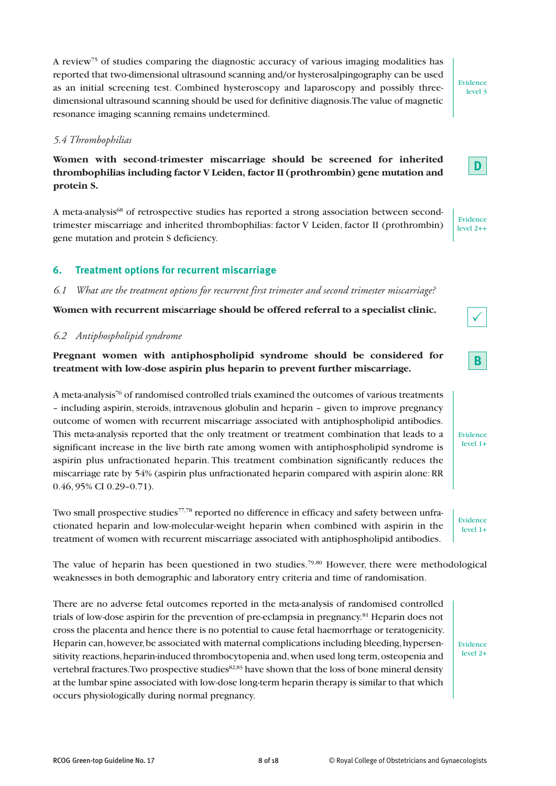# **Women with second-trimester miscarriage should be screened for inherited thrombophilias including factor V Leiden, factor II (prothrombin) gene mutation and protein S.**

A review75 of studies comparing the diagnostic accuracy of various imaging modalities has reported that two-dimensional ultrasound scanning and/or hysterosalpingography can be used as an initial screening test. Combined hysteroscopy and laparoscopy and possibly three-

A meta-analysis<sup>68</sup> of retrospective studies has reported a strong association between secondtrimester miscarriage and inherited thrombophilias: factor V Leiden, factor II (prothrombin) gene mutation and protein S deficiency.

# **6. Treatment options for recurrent miscarriage**

*6.1 What are the treatment options for recurrent first trimester and second trimester miscarriage?*

**Women with recurrent miscarriage should be offered referral to a specialist clinic.**

# *6.2 Antiphospholipid syndrome*

# **Pregnant women with antiphospholipid syndrome should be considered for treatment with low-dose aspirin plus heparin to prevent further miscarriage.**

A meta-analysis<sup>76</sup> of randomised controlled trials examined the outcomes of various treatments – including aspirin, steroids, intravenous globulin and heparin – given to improve pregnancy outcome of women with recurrent miscarriage associated with antiphospholipid antibodies. This meta-analysis reported that the only treatment or treatment combination that leads to a significant increase in the live birth rate among women with antiphospholipid syndrome is aspirin plus unfractionated heparin. This treatment combination significantly reduces the miscarriage rate by 54% (aspirin plus unfractionated heparin compared with aspirin alone:RR 0.46, 95% CI 0.29–0.71).

Two small prospective studies<sup>77,78</sup> reported no difference in efficacy and safety between unfractionated heparin and low-molecular-weight heparin when combined with aspirin in the treatment of women with recurrent miscarriage associated with antiphospholipid antibodies.

The value of heparin has been questioned in two studies.<sup>79,80</sup> However, there were methodological weaknesses in both demographic and laboratory entry criteria and time of randomisation.

There are no adverse fetal outcomes reported in the meta-analysis of randomised controlled trials of low-dose aspirin for the prevention of pre-eclampsia in pregnancy. <sup>81</sup> Heparin does not cross the placenta and hence there is no potential to cause fetal haemorrhage or teratogenicity. Heparin can,however,be associated with maternal complications including bleeding,hypersensitivity reactions, heparin-induced thrombocytopenia and, when used long term, osteopenia and vertebral fractures. Two prospective studies $82,83$  have shown that the loss of bone mineral density at the lumbar spine associated with low-dose long-term heparin therapy is similar to that which occurs physiologically during normal pregnancy.

Evidence level 2+





Evidence level 2++



# **B**

Evidence level 1+

Evidence level 1+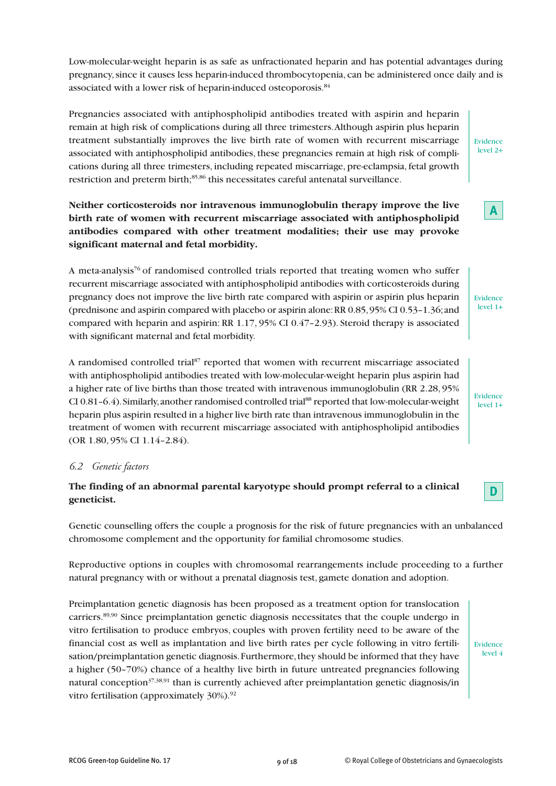Low-molecular-weight heparin is as safe as unfractionated heparin and has potential advantages during pregnancy,since it causes less heparin-induced thrombocytopenia, can be administered once daily and is associated with a lower risk of heparin-induced osteoporosis.  $^{84}$ 

Pregnancies associated with antiphospholipid antibodies treated with aspirin and heparin remain at high risk of complications during all three trimesters.Although aspirin plus heparin treatment substantially improves the live birth rate of women with recurrent miscarriage associated with antiphospholipid antibodies, these pregnancies remain at high risk of complications during all three trimesters, including repeated miscarriage, pre-eclampsia, fetal growth restriction and preterm birth; 85,86 this necessitates careful antenatal surveillance.

**Neither corticosteroids nor intravenous immunoglobulin therapy improve the live birth rate of women with recurrent miscarriage associated with antiphospholipid antibodies compared with other treatment modalities; their use may provoke significant maternal and fetal morbidity.**

A meta-analysis<sup>76</sup> of randomised controlled trials reported that treating women who suffer recurrent miscarriage associated with antiphospholipid antibodies with corticosteroids during pregnancy does not improve the live birth rate compared with aspirin or aspirin plus heparin (prednisone and aspirin compared with placebo or aspirin alone:RR 0.85,95% CI 0.53–1.36;and compared with heparin and aspirin: RR 1.17, 95% CI 0.47–2.93). Steroid therapy is associated with significant maternal and fetal morbidity.

A randomised controlled trial <sup>87</sup> reported that women with recurrent miscarriage associated with antiphospholipid antibodies treated with low-molecular-weight heparin plus aspirin had a higher rate of live births than those treated with intravenous immunoglobulin (RR 2.28, 95% CI 0.81-6.4). Similarly, another randomised controlled trial<sup>88</sup> reported that low-molecular-weight heparin plus aspirin resulted in a higher live birth rate than intravenous immunoglobulin in the treatment of women with recurrent miscarriage associated with antiphospholipid antibodies (OR 1.80, 95% CI 1.14–2.84).

# *6.2 Genetic factors*

# **The finding of an abnormal parental karyotype should prompt referral to a clinical geneticist.**

Genetic counselling offers the couple a prognosis for the risk of future pregnancies with an unbalanced chromosome complement and the opportunity for familial chromosome studies.

Reproductive options in couples with chromosomal rearrangements include proceeding to a further natural pregnancy with or without a prenatal diagnosis test, gamete donation and adoption.

Preimplantation genetic diagnosis has been proposed as a treatment option for translocation carriers.<sup>89,90</sup> Since preimplantation genetic diagnosis necessitates that the couple undergo in vitro fertilisation to produce embryos, couples with proven fertility need to be aware of the financial cost as well as implantation and live birth rates per cycle following in vitro fertilisation/preimplantation genetic diagnosis.Furthermore,they should be informed that they have a higher (50–70%) chance of a healthy live birth in future untreated pregnancies following natural conception<sup>37,38,91</sup> than is currently achieved after preimplantation genetic diagnosis/in vitro fertilisation (approximately 30%).<sup>92</sup>

Evidence level 4





Evidence level 1+

Evidence level 1+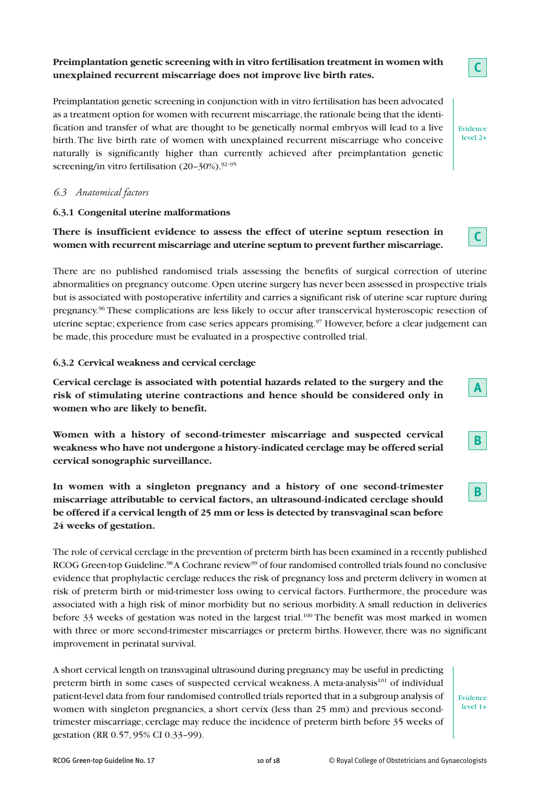# **Preimplantation genetic screening with in vitro fertilisation treatment in women with unexplained recurrent miscarriage does not improve live birth rates.**

Preimplantation genetic screening in conjunction with in vitro fertilisation has been advocated as a treatment option for women with recurrent miscarriage, the rationale being that the identification and transfer of what are thought to be genetically normal embryos will lead to a live birth.The live birth rate of women with unexplained recurrent miscarriage who conceive naturally is significantly higher than currently achieved after preimplantation genetic screening/in vitro fertilisation (20–30%). 92–95

#### *6.3 Anatomical factors*

#### **6.3.1 Congenital uterine malformations**

# **There is insufficient evidence to assess the effect of uterine septum resection in women with recurrent miscarriage and uterine septum to prevent further miscarriage.**

There are no published randomised trials assessing the benefits of surgical correction of uterine abnormalities on pregnancy outcome.Open uterine surgery has never been assessed in prospective trials but is associated with postoperative infertility and carries a significant risk of uterine scar rupture during pregnancy. <sup>96</sup> These complications are less likely to occur after transcervical hysteroscopic resection of uterine septae; experience from case series appears promising. <sup>97</sup> However, before a clear judgement can be made, this procedure must be evaluated in a prospective controlled trial.

#### **6.3.2 Cervical weakness and cervical cerclage**

**Cervical cerclage is associated with potential hazards related to the surgery and the risk of stimulating uterine contractions and hence should be considered only in women who are likely to benefit.**

**Women with a history of second-trimester miscarriage and suspected cervical weakness who have not undergone a history-indicated cerclage may be offered serial cervical sonographic surveillance.**

**In women with a singleton pregnancy and a history of one second-trimester miscarriage attributable to cervical factors, an ultrasound-indicated cerclage should be offered if a cervical length of 25 mm or less is detected by transvaginal scan before 24 weeks of gestation.**

The role of cervical cerclage in the prevention of preterm birth has been examined in a recently published RCOG Green-top Guideline.<sup>98</sup> A Cochrane review<sup>99</sup> of four randomised controlled trials found no conclusive evidence that prophylactic cerclage reduces the risk of pregnancy loss and preterm delivery in women at risk of preterm birth or mid-trimester loss owing to cervical factors. Furthermore, the procedure was associated with a high risk of minor morbidity but no serious morbidity.A small reduction in deliveries before 33 weeks of gestation was noted in the largest trial.<sup>100</sup> The benefit was most marked in women with three or more second-trimester miscarriages or preterm births. However, there was no significant improvement in perinatal survival.

A short cervical length on transvaginal ultrasound during pregnancy may be useful in predicting preterm birth in some cases of suspected cervical weakness. A meta-analysis<sup>101</sup> of individual patient-level data from four randomised controlled trials reported that in a subgroup analysis of women with singleton pregnancies, a short cervix (less than 25 mm) and previous secondtrimester miscarriage, cerclage may reduce the incidence of preterm birth before 35 weeks of gestation (RR 0.57, 95% CI 0.33–99).



Evidence level 2+

**C**



**A**

# **B**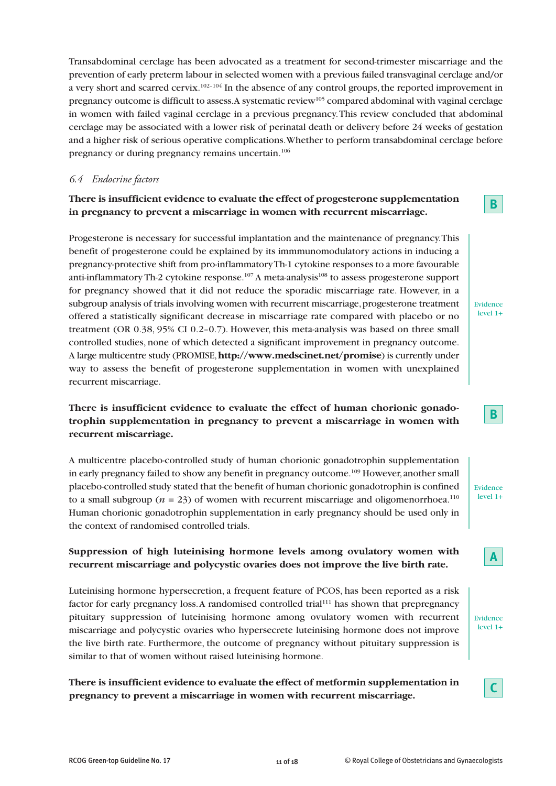Transabdominal cerclage has been advocated as a treatment for second-trimester miscarriage and the prevention of early preterm labour in selected women with a previous failed transvaginal cerclage and/or a very short and scarred cervix.<sup>102–104</sup> In the absence of any control groups, the reported improvement in pregnancy outcome is difficult to assess.A systematic review105 compared abdominal with vaginal cerclage in women with failed vaginal cerclage in a previous pregnancy.This review concluded that abdominal cerclage may be associated with a lower risk of perinatal death or delivery before 24 weeks of gestation and a higher risk of serious operative complications.Whether to perform transabdominal cerclage before pregnancy or during pregnancy remains uncertain. 106

# *6.4 Endocrine factors*

# **There is insufficient evidence to evaluate the effect of progesterone supplementation in pregnancy to prevent a miscarriage in women with recurrent miscarriage.**

Progesterone is necessary for successful implantation and the maintenance of pregnancy.This benefit of progesterone could be explained by its immmunomodulatory actions in inducing a pregnancy-protective shift from pro-inflammatoryTh-1 cytokine responses to a more favourable anti-inflammatory Th-2 cytokine response. $^{107}\mathrm{A}$  meta-analysis $^{108}$  to assess progesterone support for pregnancy showed that it did not reduce the sporadic miscarriage rate. However, in a subgroup analysis of trials involving women with recurrent miscarriage, progesterone treatment offered a statistically significant decrease in miscarriage rate compared with placebo or no treatment (OR 0.38, 95% CI 0.2–0.7). However, this meta-analysis was based on three small controlled studies, none of which detected a significant improvement in pregnancy outcome. A large multicentre study (PROMISE,**http://www.medscinet.net/promise**) is currently under way to assess the benefit of progesterone supplementation in women with unexplained recurrent miscarriage.

# **There is insufficient evidence to evaluate the effect of human chorionic gonadotrophin supplementation in pregnancy to prevent a miscarriage in women with recurrent miscarriage.**

A multicentre placebo-controlled study of human chorionic gonadotrophin supplementation in early pregnancy failed to show any benefit in pregnancy outcome.<sup>109</sup> However, another small placebo-controlled study stated that the benefit of human chorionic gonadotrophin is confined to a small subgroup ( $n = 23$ ) of women with recurrent miscarriage and oligomenorrhoea.<sup>110</sup> Human chorionic gonadotrophin supplementation in early pregnancy should be used only in the context of randomised controlled trials.

# **Suppression of high luteinising hormone levels among ovulatory women with recurrent miscarriage and polycystic ovaries does not improve the live birth rate.**

Luteinising hormone hypersecretion, a frequent feature of PCOS, has been reported as a risk factor for early pregnancy loss. A randomised controlled trial<sup>111</sup> has shown that prepregnancy pituitary suppression of luteinising hormone among ovulatory women with recurrent miscarriage and polycystic ovaries who hypersecrete luteinising hormone does not improve the live birth rate. Furthermore, the outcome of pregnancy without pituitary suppression is similar to that of women without raised luteinising hormone.

# **There is insufficient evidence to evaluate the effect of metformin supplementation in pregnancy to prevent a miscarriage in women with recurrent miscarriage.**

Evidence

**B**

| . |  |
|---|--|
| . |  |

Evidence level 1+

**B**

| <b>Contract Contract Contract Contract Contract Contract Contract Contract Contract Contract Contract Contract Co</b><br><b>Contract Contract Contract Contract Contract Contract Contract Contract Contract Contract Contract Contract Co</b> |
|------------------------------------------------------------------------------------------------------------------------------------------------------------------------------------------------------------------------------------------------|
|------------------------------------------------------------------------------------------------------------------------------------------------------------------------------------------------------------------------------------------------|

Evidence level 1+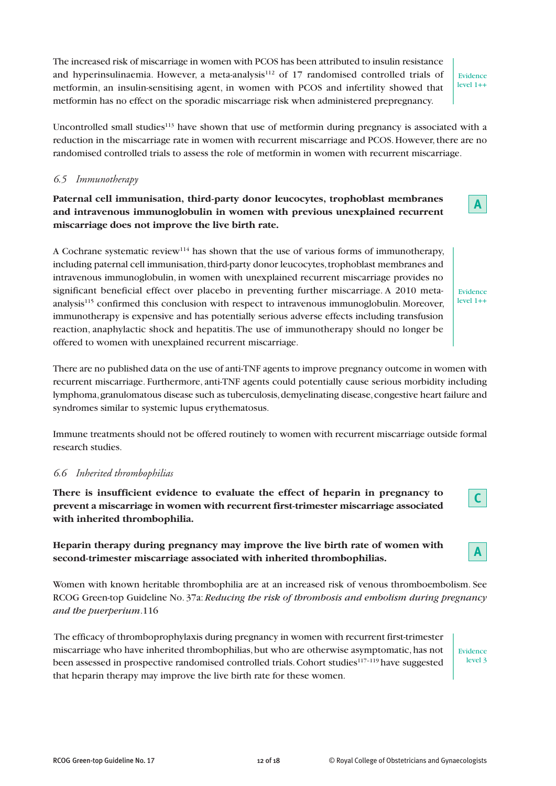The increased risk of miscarriage in women with PCOS has been attributed to insulin resistance and hyperinsulinaemia. However, a meta-analysis $112$  of 17 randomised controlled trials of metformin, an insulin-sensitising agent, in women with PCOS and infertility showed that metformin has no effect on the sporadic miscarriage risk when administered prepregnancy.

Evidence level 1++

**A**

Uncontrolled small studies $113$  have shown that use of metformin during pregnancy is associated with a reduction in the miscarriage rate in women with recurrent miscarriage and PCOS. However,there are no randomised controlled trials to assess the role of metformin in women with recurrent miscarriage.

#### *6.5 Immunotherapy*

# **Paternal cell immunisation, third-party donor leucocytes, trophoblast membranes and intravenous immunoglobulin in women with previous unexplained recurrent miscarriage does not improve the live birth rate.**

A Cochrane systematic review<sup>114</sup> has shown that the use of various forms of immunotherapy, including paternal cell immunisation, third-party donor leucocytes, trophoblast membranes and intravenous immunoglobulin, in women with unexplained recurrent miscarriage provides no significant beneficial effect over placebo in preventing further miscarriage. A 2010 metaanalysis115 confirmed this conclusion with respect to intravenous immunoglobulin. Moreover, immunotherapy is expensive and has potentially serious adverse effects including transfusion reaction, anaphylactic shock and hepatitis.The use of immunotherapy should no longer be offered to women with unexplained recurrent miscarriage.

There are no published data on the use of anti-TNF agents to improve pregnancy outcome in women with recurrent miscarriage. Furthermore, anti-TNF agents could potentially cause serious morbidity including lymphoma,granulomatous disease such as tuberculosis,demyelinating disease,congestive heart failure and syndromes similar to systemic lupus erythematosus.

Immune treatments should not be offered routinely to women with recurrent miscarriage outside formal research studies.

#### *6.6 Inherited thrombophilias*

**There is insufficient evidence to evaluate the effect of heparin in pregnancy to prevent a miscarriage in women with recurrent first-trimester miscarriage associated with inherited thrombophilia.**

**Heparin therapy during pregnancy may improve the live birth rate of women with second-trimester miscarriage associated with inherited thrombophilias.**

Women with known heritable thrombophilia are at an increased risk of venous thromboembolism. See RCOG Green-top Guideline No. 37a:*Reducing the risk of thrombosis and embolism during pregnancy and the puerperium*.116

The efficacy of thromboprophylaxis during pregnancy in women with recurrent first-trimester miscarriage who have inherited thrombophilias,but who are otherwise asymptomatic,has not been assessed in prospective randomised controlled trials.Cohort studies117–119 have suggested that heparin therapy may improve the live birth rate for these women.

Evidence level 3

**A**

**C**

Evidence level 1++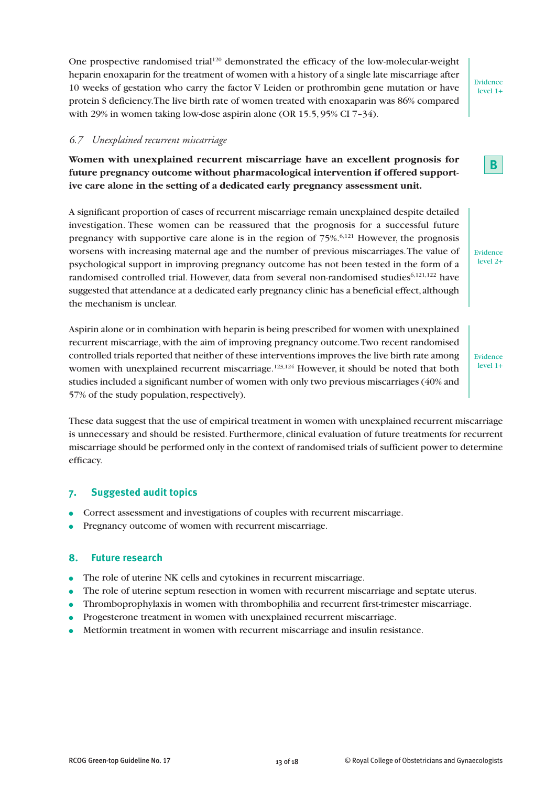One prospective randomised trial<sup>120</sup> demonstrated the efficacy of the low-molecular-weight heparin enoxaparin for the treatment of women with a history of a single late miscarriage after 10 weeks of gestation who carry the factor V Leiden or prothrombin gene mutation or have protein S deficiency.The live birth rate of women treated with enoxaparin was 86% compared with 29% in women taking low-dose aspirin alone (OR 15.5, 95% CI 7–34).

#### *6.7 Unexplained recurrent miscarriage*

**Women with unexplained recurrent miscarriage have an excellent prognosis for future pregnancy outcome without pharmacological intervention if offered supportive care alone in the setting of a dedicated early pregnancy assessment unit.**

A significant proportion of cases of recurrent miscarriage remain unexplained despite detailed investigation. These women can be reassured that the prognosis for a successful future pregnancy with supportive care alone is in the region of 75%. 6,121 However, the prognosis worsens with increasing maternal age and the number of previous miscarriages.The value of psychological support in improving pregnancy outcome has not been tested in the form of a randomised controlled trial. However, data from several non-randomised studies<sup>6,121,122</sup> have suggested that attendance at a dedicated early pregnancy clinic has a beneficial effect, although the mechanism is unclear.

Aspirin alone or in combination with heparin is being prescribed for women with unexplained recurrent miscarriage, with the aim of improving pregnancy outcome.Two recent randomised controlled trials reported that neither of these interventions improves the live birth rate among women with unexplained recurrent miscarriage.<sup>123,124</sup> However, it should be noted that both studies included a significant number of women with only two previous miscarriages (40% and 57% of the study population, respectively).

These data suggest that the use of empirical treatment in women with unexplained recurrent miscarriage is unnecessary and should be resisted. Furthermore, clinical evaluation of future treatments for recurrent miscarriage should be performed only in the context of randomised trials of sufficient power to determine efficacy.

#### **7. Suggested audit topics**

- **●** Correct assessment and investigations of couples with recurrent miscarriage.
- **●** Pregnancy outcome of women with recurrent miscarriage.

#### **8. Future research**

- **●** The role of uterine NK cells and cytokines in recurrent miscarriage.
- The role of uterine septum resection in women with recurrent miscarriage and septate uterus.
- **●** Thromboprophylaxis in women with thrombophilia and recurrent first-trimester miscarriage.
- **●** Progesterone treatment in women with unexplained recurrent miscarriage.
- **●** Metformin treatment in women with recurrent miscarriage and insulin resistance.

Evidence level 2+

Evidence level 1+

Evidence level 1+

**B**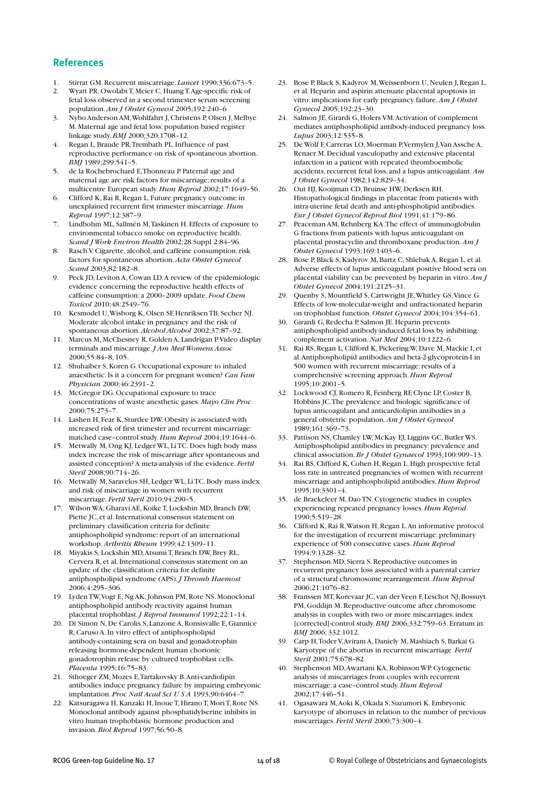#### **References**

- 1. Stirrat GM.Recurrent miscarriage. *Lancet* 1990;336:673–5.
- 2. Wyatt PR,OwolabiT, Meier C, HuangT.Age-specific risk of fetal loss observed in a second trimester serum screening population.*Am J Obstet Gynecol* 2005;192:240–6
- 3. Nybo Anderson AM,Wohlfahrt J,Christens P,Olsen J, Melbye M. Maternal age and fetal loss:population based register linkage study.*BMJ* 2000;320:1708–12.
- 4. Regan L,Braude PR,Trembath PL.Influence of past reproductive performance on risk of spontaneous abortion. *BMJ* 1989;299:541–5.
- 5. de la Rochebrochard E,Thonneau P. Paternal age and maternal age are risk factors for miscarriage; results of a multicentre European study.*Hum Reprod* 2002;17:1649–56.
- 6. Clifford K,Rai R,Regan L. Future pregnancy outcome in unexplained recurrent first trimester miscarriage.*Hum Reprod* 1997;12:387–9.
- 7. Lindbohm ML, Sallmén M,Taskinen H. Effects of exposure to environmental tobacco smoke on reproductive health. *Scand J Work Environ Health* 2002;28 Suppl 2:84–96.
- 8. Rasch V. Cigarette, alcohol, and caffeine consumption: risk factors for spontaneous abortion.*Acta Obstet Gynecol Scand* 2003;82:182–8.
- 9. Peck JD, Leviton A,Cowan LD.A review of the epidemiologic evidence concerning the reproductive health effects of caffeine consumption: a 2000–2009 update. *Food Chem Toxicol* 2010;48:2549–76.
- 10. Kesmodel U,Wisborg K,Olsen SF, HenriksenTB, Secher NJ. Moderate alcohol intake in pregnancy and the risk of spontaneous abortion.*Alcohol Alcohol* 2002;37:87–92.
- 11. Marcus M, McChesney R, Golden A, Landrigan P.Video display terminals and miscarriage.*J Am Med Womens Assoc* 2000;55:84–8, 105.
- 12. Shuhaiber S,Koren G.Occupational exposure to inhaled anaesthetic.Is it a concern for pregnant women? *Can Fam Physician* 2000;46:2391–2.
- 13. McGregor DG.Occupational exposure to trace concentrations of waste anesthetic gases. *Mayo Clin Proc* 2000;75:273–7.
- 14. Lashen H, Fear K, Sturdee DW.Obesity is associated with increased risk of first trimester and recurrent miscarriage: matched case–control study.*Hum Reprod* 2004;19:1644–6.
- 15. Metwally M,Ong KJ, Ledger WL, LiTC. Does high body mass index increase the risk of miscarriage after spontaneous and assisted conception? A meta-analysis of the evidence. *Fertil Steril* 2008;90:714–26.
- 16. Metwally M, Saravelos SH, Ledger WL, LiTC. Body mass index and risk of miscarriage in women with recurrent miscarriage. *Fertil Steril* 2010;94:290–5.
- 17. Wilson WA, Gharavi AE, Koike T, Lockshin MD, Branch DW, Piette JC, et al.International consensus statement on preliminary classification criteria for definite antiphospholipid syndrome: report of an international workshop.*Arthritis Rheum* 1999;42:1309–11.
- 18. Miyakis S, Lockshin MD, Atsumi T, Branch DW, Brey RL, Cervera R, et al.International consensus statement on an update of the classification criteria for definite antiphospholipid syndrome (APS).*J Thromb Haemost* 2006;4:295–306.
- 19. Lyden TW, Vogt E, Ng AK, Johnson PM, Rote NS. Monoclonal antiphospholipid antibody reactivity against human placental trophoblast.*J Reprod Immunol* 1992;22:1–14.
- 20. Di Simon N, De Carolis S, Lanzone A,Ronsisvalle E, Giannice R,Caruso A.In vitro effect of antiphospholipid antibody-containing sera on basal and gonadotrophin releasing hormone-dependent human chorionic gonadotrophin release by cultured trophoblast cells. *Placenta* 1995;16:75–83.
- 21. Sthoeger ZM, Mozes E,Tartakovsky B.Anti-cardiolipin antibodies induce pregnancy failure by impairing embryonic implantation.*Proc Natl Acad Sci U S A* 1993;90:6464–7.
- 22. Katsuragawa H, Kanzaki H, Inoue T, Hirano T, Mori T, Rote NS. Monoclonal antibody against phosphatidylserine inhibits in vitro human trophoblastic hormone production and invasion.*Biol Reprod* 1997;56:50–8.
- 23. Bose P, Black S, Kadyrov M, Weissenborn U, Neulen J, Regan L, et al. Heparin and aspirin attenuate placental apoptosis in vitro: implications for early pregnancy failure.*Am J Obstet Gynecol* 2005;192:23–30.
- 24. Salmon JE, Girardi G, Holers VM.Activation of complement mediates antiphospholipid antibody-induced pregnancy loss. *Lupus* 2003;12:535–8.
- 25. De Wolf F,Carreras LO, Moerman P,Vermylen J,Van Assche A, Renaer M. Decidual vasculopathy and extensive placental infarction in a patient with repeated thromboembolic accidents, recurrent fetal loss, and a lupus anticoagulant. Am *J Obstet Gynecol* 1982;142:829–34.
- 26. Out HJ,Kooijman CD,Bruinse HW, Derksen RH. Histopathological findings in placentae from patients with intra-uterine fetal death and anti-phospholipid antibodies. *Eur J Obstet Gynecol Reprod Biol* 1991;41:179–86.
- 27. Peaceman AM,Rehnberg KA.The effect of immunoglobulin G fractions from patients with lupus anticoagulant on placental prostacyclin and thromboxane production.*Am J Obstet Gynecol* 1993;169:1403–6.
- 28. Bose P, Black S, Kadyrov M, Bartz C, Shlebak A, Regan L, et al. Adverse effects of lupus anticoagulant positive blood sera on placental viability can be prevented by heparin in vitro.*Am J Obstet Gynecol* 2004;191:2125–31.
- 29. Quenby S, Mountfield S,Cartwright JE,Whitley GS,Vince G. Effects of low-molecular-weight and unfractionated heparin on trophoblast function. *Obstet Gynecol* 2004;104:354–61.
- 30. Girardi G,Redecha P, Salmon JE. Heparin prevents antiphospholipid antibody-induced fetal loss by inhibiting complement activation.*Nat Med* 2004;10:1222–6.
- 31. Rai RS,Regan L,Clifford K, Pickering W, Dave M, Mackie I, et al.Antiphospholipid antibodies and beta-2-glycoprotein-I in 500 women with recurrent miscarriage: results of a comprehensive screening approach.*Hum Reprod* 1995;10:2001–5.
- 32. Lockwood CJ,Romero R, Feinberg RF,Clyne LP,Coster B, Hobbins JC.The prevalence and biologic significance of lupus anticoagulant and anticardiolipin antibodies in a general obstetric population.*Am J Obstet Gynecol* 1989;161:369–73.
- 33. Pattison NS,Chamley LW, McKay EJ, Liggins GC,Butler WS. Antiphospholipid antibodies in pregnancy: prevalence and clinical association.*Br J Obstet Gynaecol* 1993;100:909–13.
- 34. Rai RS,Clifford K,Cohen H,Regan L. High prospective fetal loss rate in untreated pregnancies of women with recurrent miscarriage and antiphospholipid antibodies.*Hum Reprod* 1995;10:3301–4.
- 35. de Braekeleer M, DaoTN.Cytogenetic studies in couples experiencing repeated pregnancy losses.*Hum Reprod* 1990;5:519–28.
- 36. Clifford K,Rai R,Watson H,Regan L.An informative protocol for the investigation of recurrent miscarriage: preliminary experience of 500 consecutive cases.*Hum Reprod* 1994;9:1328–32.
- 37. Stephenson MD, Sierra S.Reproductive outcomes in recurrent pregnancy loss associated with a parental carrier of a structural chromosome rearrangement.*Hum Reprod* 2006;21:1076–82.
- 38. Franssen MT,Korevaar JC, van der Veen F, Leschot NJ,Bossuyt PM, Goddijn M.Reproductive outcome after chromosome analysis in couples with two or more miscarriages: index [corrected]-control study.*BMJ* 2006;332:759–63. Erratum in: *BMJ* 2006; 332:1012.
- 39. Carp H, Toder V, Aviram A, Daniely M, Mashiach S, Barkai G. Karyotype of the abortus in recurrent miscarriage. *Fertil Steril* 2001;75:678–82.
- 40. Stephenson MD,Awartani KA,Robinson WP.Cytogenetic analysis of miscarriages from couples with recurrent miscarriage: a case–control study.*Hum Reprod* 2002;17:446–51.
- 41. Ogasawara M,Aoki K,Okada S, Suzumori K. Embryonic karyotype of abortuses in relation to the number of previous miscarriages. *Fertil Steril* 2000;73:300–4.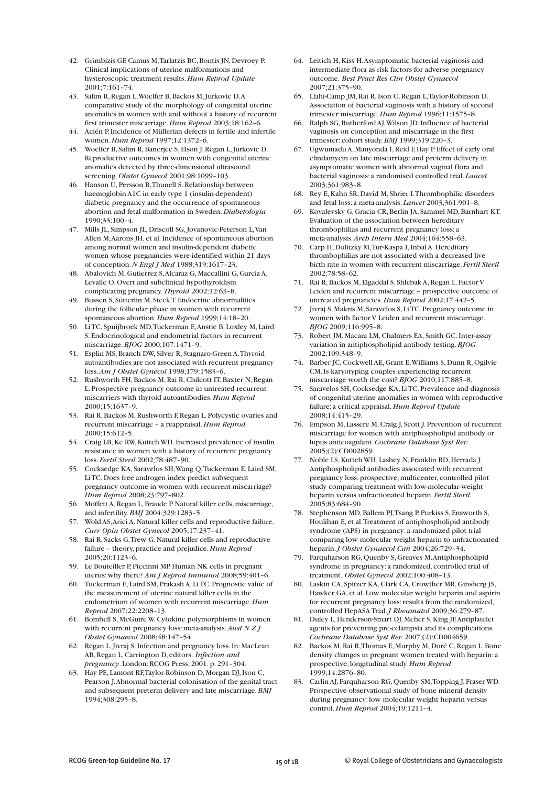- 42. Grimbizis GF,Camus M,Tarlatzis BC,Bontis JN, Devroey P. Clinical implications of uterine malformations and hysteroscopic treatment results.*Hum Reprod Update*  $2001$ ; 7:161-74.
- 43. Salim R,Regan L,Woelfer B,Backos M,Jurkovic D.A comparative study of the morphology of congenital uterine anomalies in women with and without a history of recurrent first trimester miscarriage.*Hum Reprod* 2003;18:162–6.
- 44. Acién P.Incidence of Müllerian defects in fertile and infertile women.*Hum Reprod* 1997;12:1372–6.
- 45. Woelfer B, Salim R,Banerjee S, Elson J,Regan L,Jurkovic D. Reproductive outcomes in women with congenital uterine anomalies detected by three-dimensional ultrasound screening. *Obstet Gynecol* 2001;98:1099–103.
- 46. Hanson U, Persson B,Thunell S.Relationship between haemoglobin A1C in early type 1 (insulin-dependent) diabetic pregnancy and the occurrence of spontaneous abortion and fetal malformation in Sweden.*Diabetologia* 1990;33:100–4.
- 47. Mills JL, Simpson JL, Driscoll SG,Jovanovic-Peterson L,Van Allen M,Aarons JH, et al.Incidence of spontaneous abortion among normal women and insulin-dependent diabetic women whose pregnancies were identified within 21 days of conception.*N Engl J Med* 1988;319:1617–23.
- 48. Abalovich M, Gutierrez S,Alcaraz G, Maccallini G, Garcia A, Levalle O.Overt and subclinical hypothyroidism complicating pregnancy. *Thyroid* 2002;12:63–8.
- 49. Bussen S, Sütterlin M, SteckT. Endocrine abnormalities during the follicular phase in women with recurrent spontaneous abortion.*Hum Reprod* 1999;14:18–20.
- 50. LiTC, Spuijbroek MD,Tuckerman E,Anstie B, Loxley M, Laird S. Endocrinological and endometrial factors in recurrent miscarriage.*BJOG* 2000;107:1471–9.
- 51. Esplin MS,Branch DW, Silver R, Stagnaro-Green A.Thyroid autoantibodies are not associated with recurrent pregnancy loss.*Am J Obstet Gynecol* 1998;179:1583–6.
- 52. Rushworth FH, Backos M, Rai R, Chilcott IT, Baxter N, Regan L. Prospective pregnancy outcome in untreated recurrent miscarriers with thyroid autoantibodies.*Hum Reprod* 2000;15:1637–9.
- 53. Rai R, Backos M, Rushworth F, Regan L. Polycystic ovaries and recurrent miscarriage – a reappraisal.*Hum Reprod* 2000;15:612–5.
- 54. Craig LB,Ke RW,Kutteh WH.Increased prevalence of insulin resistance in women with a history of recurrent pregnancy loss. *Fertil Steril* 2002;78:487–90.
- 55. Cocksedge KA, Saravelos SH,Wang Q,Tuckerman E, Laird SM, LiTC. Does free androgen index predict subsequent pregnancy outcome in women with recurrent miscarriage? *Hum Reprod* 2008;23:797–802.
- 56. Moffett A,Regan L,Braude P.Natural killer cells, miscarriage, and infertility.*BMJ* 2004;329:1283–5.
- 57. Wold AS,Arici A.Natural killer cells and reproductive failure. *Curr Opin Obstet Gynecol* 2005;17:237–41.
- 58. Rai R, Sacks G,Trew G.Natural killer cells and reproductive failure – theory,practice and prejudice.*Hum Reprod* 2005;20:1123–6.
- 59. Le Bouteiller P, Piccinni MP. Human NK cells in pregnant uterus: why there? *Am J Reprod Immunol* 2008;59:401–6.
- 60. Tuckerman E, Laird SM, Prakash A, LiTC. Prognostic value of the measurement of uterine natural killer cells in the endometrium of women with recurrent miscarriage.*Hum Reprod* 2007;22:2208–13.
- 61. Bombell S, McGuire W.Cytokine polymorphisms in women with recurrent pregnancy loss: meta-analysis.*Aust N Z J Obstet Gynaecol* 2008;48:147–54.
- 62. Regan L,Jivraj S.Infection and pregnancy loss.In: MacLean AB,Regan L,Carrington D, editors. *Infection and pregnancy*. London:RCOG Press; 2001.p. 291–304.
- 63. Hay PE, Lamont RF,Taylor-Robinson D, Morgan DJ,Ison C, Pearson J.Abnormal bacterial colonisation of the genital tract and subsequent preterm delivery and late miscarriage.*BMJ* 1994;308:295–8.
- 64. Leitich H,Kiss H.Asymptomatic bacterial vaginosis and intermediate flora as risk factors for adverse pregnancy outcome. *Best Pract Res Clin Obstet Gynaecol* 2007;21:375–90.
- 65. Llahi-Camp JM,Rai R,Ison C,Regan L,Taylor-Robinson D. Association of bacterial vaginosis with a history of second trimester miscarriage.*Hum Reprod* 1996;11:1575–8.
- 66. Ralph SG,Rutherford AJ,Wilson JD.Influence of bacterial vaginosis on conception and miscarriage in the first trimester: cohort study.*BMJ* 1999;319:220–3.
- 67. Ugwumadu A, Manyonda I,Reid F, Hay P. Effect of early oral clindamycin on late miscarriage and preterm delivery in asymptomatic women with abnormal vaginal flora and bacterial vaginosis: a randomised controlled trial. *Lancet* 2003;361:983–8.
- 68. Rey E,Kahn SR, David M, Shrier I.Thrombophilic disorders and fetal loss: a meta-analysis. *Lancet* 2003;361:901–8.
- 69. Kovalevsky G, Gracia CR, Berlin JA, Sammel MD, Barnhart KT. Evaluation of the association between hereditary thrombophilias and recurrent pregnancy loss: a meta-analysis.*Arch Intern Med* 2004;164:558–63.
- Carp H, Dolitzky M, Tur-Kaspa I, Inbal A. Hereditary thrombophilias are not associated with a decreased live birth rate in women with recurrent miscarriage. *Fertil Steril* 2002;78:58–62.
- 71. Rai R, Backos M, Elgaddal S, Shlebak A, Regan L. Factor V Leiden and recurrent miscarriage – prospective outcome of untreated pregnancies.*Hum Reprod* 2002;17:442–5.
- 72. Jivraj S, Makris M, Saravelos S, LiTC. Pregnancy outcome in women with factor V Leiden and recurrent miscarriage. *BJOG* 2009;116:995–8.
- 73. Robert JM, Macara LM,Chalmers EA, Smith GC.Inter-assay variation in antiphospholipid antibody testing.*BJOG* 2002;109:348–9.
- 74. Barber JC,Cockwell AE, Grant E,Williams S, Dunn R,Ogilvie CM.Is karyotyping couples experiencing recurrent miscarriage worth the cost? *BJOG* 2010;117:885–8.
- 75. Saravelos SH,Cocksedge KA, LiTC. Prevalence and diagnosis of congenital uterine anomalies in women with reproductive failure: a critical appraisal.*Hum Reprod Update* 2008;14:415–29.
- 76. Empson M, Lassere M,Craig J, Scott J. Prevention of recurrent miscarriage for women with antiphospholipid antibody or lupus anticoagulant.*Cochrane Database Syst Rev* 2005;(2):CD002859.
- Noble LS, Kutteh WH, Lashey N, Franklin RD, Herrada J. Antiphospholipid antibodies associated with recurrent pregnancy loss: prospective, multicenter, controlled pilot study comparing treatment with low-molecular-weight heparin versus unfractionated heparin. *Fertil Steril* 2005;83:684–90.
- 78. Stephenson MD,Ballem PJ,Tsang P, Purkiss S, Ensworth S, Houlihan E, et al.Treatment of antiphospholipid antibody syndrome (APS) in pregnancy: a randomized pilot trial comparing low molecular weight heparin to unfractionated heparin.*J Obstet Gynaecol Can* 2004;26:729–34.
- Farquharson RG, Quenby S, Greaves M.Antiphospholipid syndrome in pregnancy: a randomized, controlled trial of treatment. *Obstet Gynecol* 2002;100:408–13.
- 80. Laskin CA, Spitzer KA,Clark CA,Crowther MR, Ginsberg JS, Hawker GA, et al. Low molecular weight heparin and aspirin for recurrent pregnancy loss: results from the randomized, controlled HepASATrial.*J Rheumatol* 2009;36:279–87.
- 81. Duley L, Henderson-Smart DJ, Meher S, King JF. Antiplatelet agents for preventing pre-eclampsia and its complications. *Cochrane Database Syst Rev* 2007;(2):CD004659.
- 82. Backos M, Rai R, Thomas E, Murphy M, Doré C, Regan L. Bone density changes in pregnant women treated with heparin: a prospective, longitudinal study.*Hum Reprod* 1999;14:2876–80.
- 83. Carlin AJ, Farquharson RG, Quenby SM, Topping J, Fraser WD. Prospective observational study of bone mineral density during pregnancy: low molecular weight heparin versus control.*Hum Reprod* 2004;19:1211–4.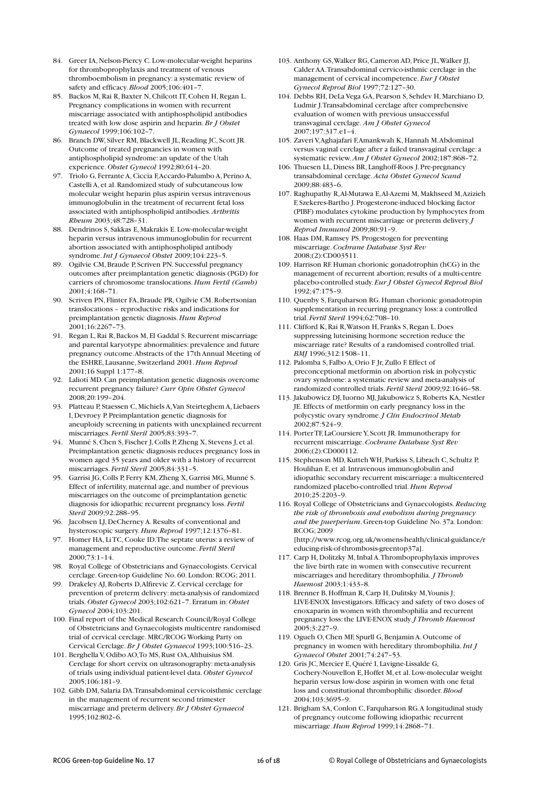- 84. Greer IA, Nelson-Piercy C. Low-molecular-weight heparins for thromboprophylaxis and treatment of venous thromboembolism in pregnancy: a systematic review of safety and efficacy.*Blood* 2005;106:401–7.
- 85. Backos M, Rai R, Baxter N, Chilcott IT, Cohen H, Regan L. Pregnancy complications in women with recurrent miscarriage associated with antiphospholipid antibodies treated with low dose aspirin and heparin.*Br J Obstet Gynaecol* 1999;106:102–7.
- 86. Branch DW, Silver RM, Blackwell JL, Reading JC, Scott JR. Outcome of treated pregnancies in women with antiphospholipid syndrome: an update of the Utah experience. *Obstet Gynecol* 1992;80:614–20.
- 97. Triolo G, Ferrante A, Ciccia F,Accardo-Palumbo A, Perino A, Castelli A, et al. Randomized study of subcutaneous low molecular weight heparin plus aspirin versus intravenous immunoglobulin in the treatment of recurrent fetal loss associated with antiphospholipid antibodies.*Arthritis Rheum* 2003;48:728–31.
- 88. Dendrinos S, Sakkas E, Makrakis E. Low-molecular-weight heparin versus intravenous immunoglobulin for recurrent abortion associated with antiphospholipid antibody syndrome.*Int J Gynaecol Obstet* 2009;104:223–5.
- 89. Ogilvie CM,Braude P, Scriven PN. Successful pregnancy outcomes after preimplantation genetic diagnosis (PGD) for carriers of chromosome translocations.*Hum Fertil (Camb)* 2001;4:168–71.
- 90. Scriven PN, Flinter FA, Braude PR, Ogilvie CM. Robertsonian translocations – reproductive risks and indications for preimplantation genetic diagnosis.*Hum Reprod* 2001;16:2267–73.
- 91. Regan L,Rai R,Backos M, El Gaddal S.Recurrent miscarriage and parental karyotype abnormalities: prevalence and future pregnancy outcome.Abstracts of the 17th Annual Meeting of the ESHRE, Lausanne, Switzerland 2001.*Hum Reprod* 2001;16 Suppl 1:177–8.
- 92. Lalioti MD.Can preimplantation genetic diagnosis overcome recurrent pregnancy failure? *Curr Opin Obstet Gynecol* 2008;20:199–204.
- 93. Platteau P, Staessen C, Michiels A,Van Steirteghem A, Liebaers I, Devroey P. Preimplantation genetic diagnosis for aneuploidy screening in patients with unexplained recurrent miscarriages. *Fertil Steril* 2005;83:393–7.
- 94. Munné S,Chen S, Fischer J,Colls P,Zheng X, Stevens J, et al. Preimplantation genetic diagnosis reduces pregnancy loss in women aged 35 years and older with a history of recurrent miscarriages. *Fertil Steril* 2005;84:331–5.
- 95. Garrisi JG, Colls P, Ferry KM, Zheng X, Garrisi MG, Munné S. Effect of infertility, maternal age, and number of previous miscarriages on the outcome of preimplantation genetic diagnosis for idiopathic recurrent pregnancy loss. *Fertil Steril* 2009;92:288–95.
- 96. Jacobsen LJ, DeCherney A.Results of conventional and hysteroscopic surgery.*Hum Reprod* 1997;12:1376–81.
- 97. Homer HA, LiTC,Cooke ID.The septate uterus: a review of management and reproductive outcome. *Fertil Steril* 2000;73:1–14.
- 98. Royal College of Obstetricians and Gynaecologists. Cervical cerclage. Green-top Guideline No. 60. London:RCOG; 2011.
- 99. Drakeley AJ,Roberts D,Alfirevic Z.Cervical cerclage for prevention of preterm delivery: meta-analysis of randomized trials. *Obstet Gynecol* 2003;102:621–7. Erratum in: *Obstet Gynecol* 2004;103:201.
- 100. Final report of the Medical Research Council/Royal College of Obstetricians and Gynaecologists multicentre randomised trial of cervical cerclage. MRC/RCOG Working Party on Cervical Cerclage.*Br J Obstet Gynaecol* 1993;100:516–23.
- 101. Berghella V,Odibo AO,To MS,Rust OA,Althuisius SM. Cerclage for short cervix on ultrasonography: meta-analysis of trials using individual patient-level data. *Obstet Gynecol* 2005;106:181–9.
- 102. Gibb DM, Salaria DA.Transabdominal cervicoisthmic cerclage in the management of recurrent second trimester miscarriage and preterm delivery.*Br J Obstet Gynaecol* 1995;102:802–6.
- 103. Anthony GS,Walker RG,Cameron AD, Price JL,Walker JJ, Calder AA.Transabdominal cervico-isthmic cerclage in the management of cervical incompetence. *Eur J Obstet Gynecol Reprod Biol* 1997;72:127–30.
- 104. Debbs RH, DeLa Vega GA, Pearson S, Sehdev H, Marchiano D, Ludmir J.Transabdominal cerclage after comprehensive evaluation of women with previous unsuccessful transvaginal cerclage. *Am J Obstet Gynecol* 2007;197:317.e1–4.
- 105. Zaveri V,Aghajafari F,Amankwah K, Hannah M.Abdominal versus vaginal cerclage after a failed transvaginal cerclage: a systematic review.*Am J Obstet Gynecol* 2002;187:868–72.
- 106. Thuesen LL, Diness BR, Langhoff-Roos J. Pre-pregnancy transabdominal cerclage.*Acta Obstet Gynecol Scand* 2009;88:483–6.
- 107. Raghupathy R,Al-Mutawa E,Al-Azemi M, Makhseed M,Azizieh F, Szekeres-Bartho J. Progesterone-induced blocking factor (PIBF) modulates cytokine production by lymphocytes from women with recurrent miscarriage or preterm delivery.*J Reprod Immunol* 2009;80:91–9.
- 108. Haas DM, Ramsey PS. Progestogen for preventing miscarriage.*Cochrane Database Syst Rev* 2008;(2):CD003511.
- 109. Harrison RF. Human chorionic gonadotrophin (hCG) in the management of recurrent abortion; results of a multi-centre placebo-controlled study. *Eur J Obstet Gynecol Reprod Biol* 1992;47:175–9.
- 110. Quenby S, Farquharson RG. Human chorionic gonadotropin supplementation in recurring pregnancy loss: a controlled trial. *Fertil Steril* 1994;62:708–10.
- 111. Clifford K, Rai R, Watson H, Franks S, Regan L. Does suppressing luteinising hormone secretion reduce the miscarriage rate? Results of a randomised controlled trial. *BMJ* 1996;312:1508–11.
- 112. Palomba S, Falbo A,Orio F Jr,Zullo F. Effect of preconceptional metformin on abortion risk in polycystic ovary syndrome: a systematic review and meta-analysis of randomized controlled trials. *Fertil Steril* 2009;92:1646–58.
- 113. Jakubowicz DJ, Iuorno MJ, Jakubowicz S, Roberts KA, Nestler JE. Effects of metformin on early pregnancy loss in the polycystic ovary syndrome.*J Clin Endocrinol Metab* 2002;87:524–9.
- 114. PorterTF, LaCoursiereY, Scott JR.Immunotherapy for recurrent miscarriage.*Cochrane Database Syst Rev* 2006;(2):CD000112.
- 115. Stephenson MD,Kutteh WH, Purkiss S, Librach C, Schultz P, Houlihan E, et al.Intravenous immunoglobulin and idiopathic secondary recurrent miscarriage: a multicentered randomized placebo-controlled trial.*Hum Reprod* 2010;25:2203–9.
- 116. Royal College of Obstetricians and Gynaecologists.*Reducing the risk of thrombosis and embolism during pregnancy and the puerperium*. Green-top Guideline No. 37a. London: RCOG; 2009 [http://www.rcog.org.uk/womens-health/clinical-guidance/r

educing-risk-of-thrombosis-greentop37a]. 117. Carp H, Dolitzky M, Inbal A.Thromboprophylaxis improves the live birth rate in women with consecutive recurrent miscarriages and hereditary thrombophilia. *J Thromb*

- *Haemost* 2003;1:433–8. 118. Brenner B, Hoffman R, Carp H, Dulitsky M, Younis J; LIVE-ENOX Investigators. Efficacy and safety of two doses of enoxaparin in women with thrombophilia and recurrent pregnancy loss:the LIVE-ENOX study.*J Thromb Haemost* 2005;3:227–9.
- 119. Ogueh O, Chen MF, Spurll G, Benjamin A. Outcome of pregnancy in women with hereditary thrombophilia.*Int J Gynaecol Obstet* 2001;74:247–53.
- 120. Gris JC, Mercier E,Quéré I, Lavigne-Lissalde G, Cochery-Nouvellon E, Hoffet M, et al. Low-molecular weight heparin versus low-dose aspirin in women with one fetal loss and constitutional thrombophilic disorder.*Blood* 2004;103:3695–9.
- 121. Brigham SA,Conlon C, Farquharson RG.A longitudinal study of pregnancy outcome following idiopathic recurrent miscarriage.*Hum Reprod* 1999;14:2868–71.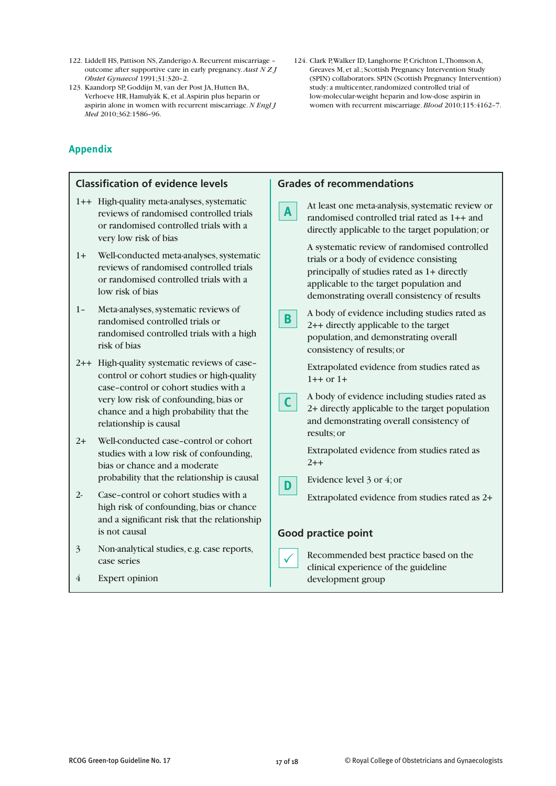- 122. Liddell HS, Pattison NS,Zanderigo A.Recurrent miscarriage outcome after supportive care in early pregnancy.*Aust N Z J Obstet Gynaecol* 1991;31:320–2.
- 123. Kaandorp SP, Goddijn M, van der Post JA, Hutten BA, Verhoeve HR, Hamulyák K, et al.Aspirin plus heparin or aspirin alone in women with recurrent miscarriage.*N Engl J Med* 2010;362:1586–96.

# **Appendix**

**Grades of recommendations** At least one meta-analysis, systematic review or randomised controlled trial rated as 1++ and directly applicable to the target population;or A systematic review of randomised controlled trials or a body of evidence consisting principally of studies rated as 1+ directly applicable to the target population and demonstrating overall consistency of results A body of evidence including studies rated as 2++ directly applicable to the target population, and demonstrating overall consistency of results;or Extrapolated evidence from studies rated as  $1++$  or  $1+$ A body of evidence including studies rated as 2+ directly applicable to the target population and demonstrating overall consistency of results;or Extrapolated evidence from studies rated as  $2++$ Evidence level 3 or 4;or Extrapolated evidence from studies rated as 2+ **Good practice point** Recommended best practice based on the clinical experience of the guideline **Classification of evidence levels** 1++ High-quality meta-analyses, systematic reviews of randomised controlled trials or randomised controlled trials with a very low risk of bias 1+ Well-conducted meta-analyses, systematic reviews of randomised controlled trials or randomised controlled trials with a low risk of bias 1- Meta-analyses, systematic reviews of randomised controlled trials or randomised controlled trials with a high risk of bias 2++ High-quality systematic reviews of case– control or cohort studies or high-quality case–control or cohort studies with a very low risk of confounding,bias or chance and a high probability that the relationship is causal 2+ Well-conducted case–control or cohort studies with a low risk of confounding, bias or chance and a moderate probability that the relationship is causal 2- Case–control or cohort studies with a high risk of confounding,bias or chance and a significant risk that the relationship is not causal 3 Non-analytical studies, e.g. case reports, case series  $\checkmark$ **C D B A**

development group

124. Clark P,Walker ID, Langhorne P,Crichton L,Thomson A, Greaves M, et al.; Scottish Pregnancy Intervention Study (SPIN) collaborators. SPIN (Scottish Pregnancy Intervention) study: a multicenter, randomized controlled trial of low-molecular-weight heparin and low-dose aspirin in women with recurrent miscarriage.*Blood* 2010;115:4162–7.

4 Expert opinion